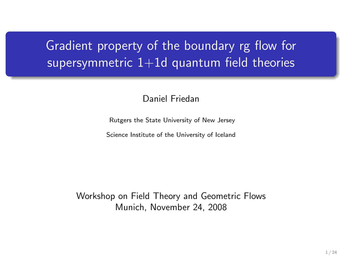# Gradient property of the boundary rg flow for supersymmetric  $1+1d$  quantum field theories

Daniel Friedan

Rutgers the State University of New Jersey

Science Institute of the University of Iceland

Workshop on Field Theory and Geometric Flows Munich, November 24, 2008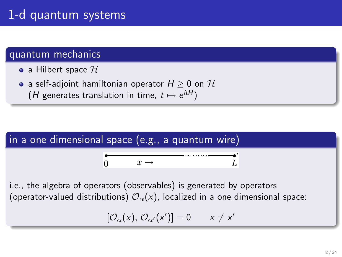## 1-d quantum systems

#### quantum mechanics

- a Hilbert space  $\mathcal H$
- a self-adjoint hamiltonian operator  $H \geq 0$  on  $\mathcal H$ (*H* generates translation in time,  $t \mapsto e^{itH}$ )



i.e., the algebra of operators (observables) is generated by operators (operator-valued distributions)  $\mathcal{O}_{\alpha}(x)$ , localized in a one dimensional space:

$$
[\mathcal{O}_{\alpha}(x), \mathcal{O}_{\alpha'}(x')] = 0 \qquad x \neq x'
$$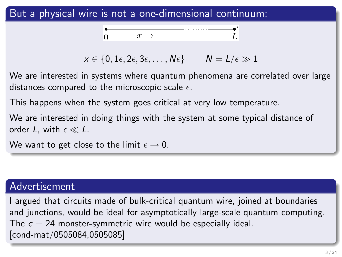#### But a physical wire is not a one-dimensional continuum:



$$
x \in \{0, 1\epsilon, 2\epsilon, 3\epsilon, \ldots, N\epsilon\} \qquad N = L/\epsilon \gg 1
$$

We are interested in systems where quantum phenomena are correlated over large distances compared to the microscopic scale  $\epsilon$ .

This happens when the system goes critical at very low temperature.

We are interested in doing things with the system at some typical distance of order L, with  $\epsilon \ll L$ .

We want to get close to the limit  $\epsilon \to 0$ .

#### Advertisement

I argued that circuits made of bulk-critical quantum wire, joined at boundaries and junctions, would be ideal for asymptotically large-scale quantum computing. The  $c = 24$  monster-symmetric wire would be especially ideal. [cond-mat/0505084,0505085]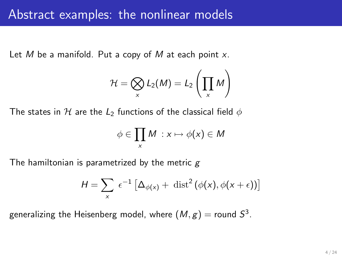Let M be a manifold. Put a copy of M at each point  $x$ .

$$
\mathcal{H} = \bigotimes_{x} L_2(M) = L_2\left(\prod_{x} M\right)
$$

The states in H are the  $L_2$  functions of the classical field  $\phi$ 

$$
\phi \in \prod_x M : x \mapsto \phi(x) \in M
$$

The hamiltonian is parametrized by the metric  $g$ 

$$
H = \sum_{x} \epsilon^{-1} \left[ \Delta_{\phi(x)} + \text{ dist}^{2} (\phi(x), \phi(x + \epsilon)) \right]
$$

generalizing the Heisenberg model, where  $(\mathcal{M},g) =$  round  $\mathcal{S}^3.$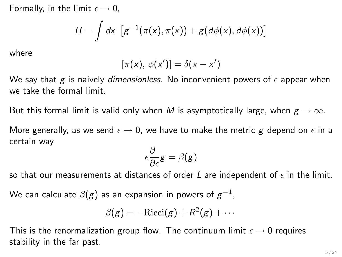Formally, in the limit  $\epsilon \rightarrow 0$ ,

$$
H = \int dx \, [g^{-1}(\pi(x), \pi(x)) + g(d\phi(x), d\phi(x))]
$$

where

$$
[\pi(x), \phi(x')] = \delta(x - x')
$$

We say that g is naively dimensionless. No inconvenient powers of  $\epsilon$  appear when we take the formal limit.

But this formal limit is valid only when M is asymptotically large, when  $g \to \infty$ .

More generally, as we send  $\epsilon \rightarrow 0$ , we have to make the metric g depend on  $\epsilon$  in a certain way

$$
\epsilon \frac{\partial}{\partial \epsilon} \mathbf{g} = \beta(\mathbf{g})
$$

so that our measurements at distances of order L are independent of  $\epsilon$  in the limit.

We can calculate  $\beta(g)$  as an expansion in powers of  $g^{-1}$ ,

$$
\beta(g) = -\mathrm{Ricci}(g) + R^2(g) + \cdots
$$

This is the renormalization group flow. The continuum limit  $\epsilon \to 0$  requires stability in the far past.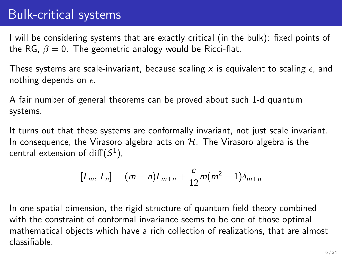## Bulk-critical systems

I will be considering systems that are exactly critical (in the bulk): fixed points of the RG,  $\beta = 0$ . The geometric analogy would be Ricci-flat.

These systems are scale-invariant, because scaling x is equivalent to scaling  $\epsilon$ , and nothing depends on  $\epsilon$ .

A fair number of general theorems can be proved about such 1-d quantum systems.

It turns out that these systems are conformally invariant, not just scale invariant. In consequence, the Virasoro algebra acts on  $H$ . The Virasoro algebra is the central extension of  $\mathrm{diff}(S^1)$ ,

$$
[L_m, L_n] = (m-n)L_{m+n} + \frac{c}{12}m(m^2-1)\delta_{m+n}
$$

In one spatial dimension, the rigid structure of quantum field theory combined with the constraint of conformal invariance seems to be one of those optimal mathematical objects which have a rich collection of realizations, that are almost classifiable.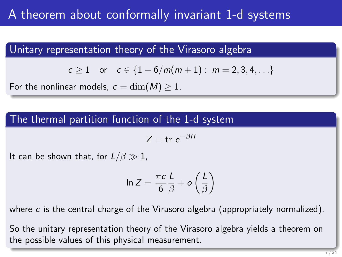## A theorem about conformally invariant 1-d systems

Unitary representation theory of the Virasoro algebra

$$
c \ge 1
$$
 or  $c \in \{1-6/m(m+1): m = 2, 3, 4, ...\}$ 

For the nonlinear models,  $c = \dim(M) \geq 1$ .

#### The thermal partition function of the 1-d system

$$
Z = \text{tr } e^{-\beta H}
$$

It can be shown that, for  $L/\beta \gg 1$ ,

$$
\ln Z = \frac{\pi c}{6} \frac{L}{\beta} + o\left(\frac{L}{\beta}\right)
$$

where  $c$  is the central charge of the Virasoro algebra (appropriately normalized).

So the unitary representation theory of the Virasoro algebra yields a theorem on the possible values of this physical measurement.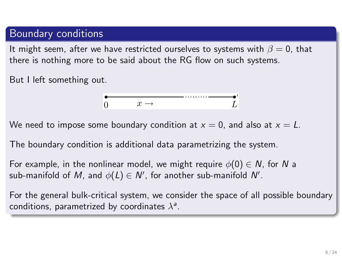#### Boundary conditions

It might seem, after we have restricted ourselves to systems with  $\beta = 0$ , that there is nothing more to be said about the RG flow on such systems.

But I left something out.

$$
\bullet \qquad \qquad x \to \qquad \qquad L'
$$

We need to impose some boundary condition at  $x = 0$ , and also at  $x = L$ .

The boundary condition is additional data parametrizing the system.

For example, in the nonlinear model, we might require  $\phi(0) \in N$ , for N a sub-manifold of  $M$ , and  $\phi(L) \in \mathcal{N}'$ , for another sub-manifold  $\mathcal{N}'$ .

For the general bulk-critical system, we consider the space of all possible boundary conditions, parametrized by coordinates  $\lambda^{\mathsf{a}}$ .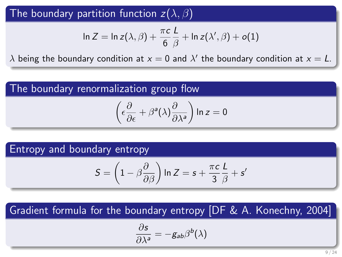#### The boundary partition function  $z(\lambda, \beta)$

$$
\ln Z = \ln z(\lambda, \beta) + \frac{\pi c}{6} \frac{L}{\beta} + \ln z(\lambda', \beta) + o(1)
$$

 $\lambda$  being the boundary condition at  $x=0$  and  $\lambda'$  the boundary condition at  $x=L.$ 

### The boundary renormalization group flow

$$
\left(\epsilon\frac{\partial}{\partial\epsilon}+\beta^{\mathsf{a}}(\lambda)\frac{\partial}{\partial\lambda^{\mathsf{a}}}\right)\ln z=0
$$

#### Entropy and boundary entropy

$$
S = \left(1 - \beta \frac{\partial}{\partial \beta}\right) \ln Z = s + \frac{\pi c}{3} \frac{L}{\beta} + s'
$$

### Gradient formula for the boundary entropy [DF & A. Konechny, 2004]

$$
\frac{\partial s}{\partial \lambda^a} = -g_{ab}\beta^b(\lambda)
$$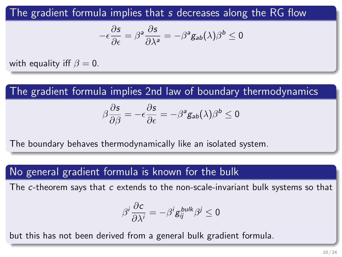The gradient formula implies that s decreases along the RG flow

$$
-\epsilon \frac{\partial s}{\partial \epsilon} = \beta^a \frac{\partial s}{\partial \lambda^a} = -\beta^a g_{ab}(\lambda) \beta^b \leq 0
$$

with equality iff  $\beta = 0$ .

The gradient formula implies 2nd law of boundary thermodynamics

$$
\beta \frac{\partial s}{\partial \beta} = -\epsilon \frac{\partial s}{\partial \epsilon} = -\beta^a g_{ab}(\lambda)\beta^b \le 0
$$

The boundary behaves thermodynamically like an isolated system.

#### No general gradient formula is known for the bulk

The c-theorem says that c extends to the non-scale-invariant bulk systems so that

$$
\beta^i \frac{\partial c}{\partial \lambda^i} = -\beta^i g_{ij}^{bulk} \beta^j \leq 0
$$

but this has not been derived from a general bulk gradient formula.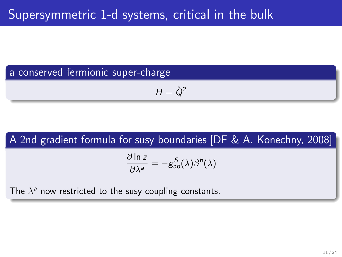# a conserved fermionic super-charge

$$
H=\hat{Q}^2
$$

# A 2nd gradient formula for susy boundaries [DF & A. Konechny, 2008] ∂ ln z  $rac{\partial \ln 2}{\partial \lambda^a} = -g_{ab}^S(\lambda)\beta^b(\lambda)$ The  $\lambda^a$  now restricted to the susy coupling constants.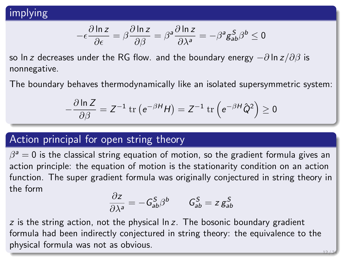### implying

$$
-\epsilon \frac{\partial \ln z}{\partial \epsilon} = \beta \frac{\partial \ln z}{\partial \beta} = \beta^a \frac{\partial \ln z}{\partial \lambda^a} = -\beta^a g^S_{ab} \beta^b \leq 0
$$

so ln z decreases under the RG flow. and the boundary energy  $-\partial \ln z / \partial \beta$  is nonnegative.

The boundary behaves thermodynamically like an isolated supersymmetric system:

$$
-\frac{\partial \ln Z}{\partial \beta} = Z^{-1} \operatorname{tr} \left( e^{-\beta H} H \right) = Z^{-1} \operatorname{tr} \left( e^{-\beta H} \hat{Q}^2 \right) \ge 0
$$

#### Action principal for open string theory

 $\beta^{\mathsf{a}}=0$  is the classical string equation of motion, so the gradient formula gives an action principle: the equation of motion is the stationarity condition on an action function. The super gradient formula was originally conjectured in string theory in the form

$$
\frac{\partial z}{\partial \lambda^a} = -\mathcal{G}^S_{ab} \beta^b \qquad \mathcal{G}^S_{ab} = z \mathcal{g}^S_{ab}
$$

 $z$  is the string action, not the physical  $ln z$ . The bosonic boundary gradient formula had been indirectly conjectured in string theory: the equivalence to the physical formula was not as obvious. 12 / 24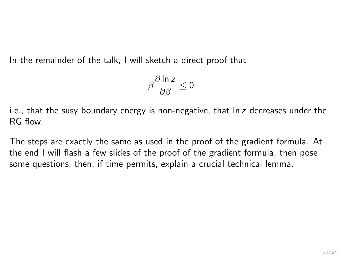In the remainder of the talk, I will sketch a direct proof that

$$
\beta \frac{\partial \ln z}{\partial \beta} \leq 0
$$

i.e., that the susy boundary energy is non-negative, that  $ln z$  decreases under the RG flow.

The steps are exactly the same as used in the proof of the gradient formula. At the end I will flash a few slides of the proof of the gradient formula, then pose some questions, then, if time permits, explain a crucial technical lemma.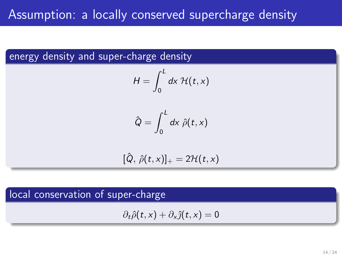## Assumption: a locally conserved supercharge density

#### energy density and super-charge density

$$
H=\int_0^L dx\ \mathcal{H}(t,x)
$$

$$
\hat{Q} = \int_0^L dx \; \hat{\rho}(t,x)
$$

$$
[\hat{Q}, \hat{\rho}(t,x)]_+ = 2\mathcal{H}(t,x)
$$

### local conservation of super-charge

$$
\partial_t \hat{\rho}(t,x) + \partial_x \hat{\jmath}(t,x) = 0
$$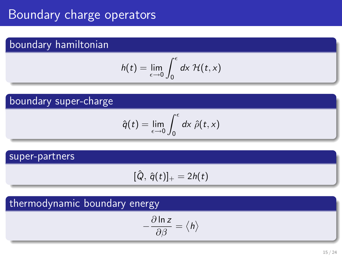## Boundary charge operators

### boundary hamiltonian

$$
h(t) = \lim_{\epsilon \to 0} \int_0^{\epsilon} dx \mathcal{H}(t,x)
$$

#### boundary super-charge

$$
\hat{q}(t) = \lim_{\epsilon \to 0} \int_0^{\epsilon} dx \hat{\rho}(t, x)
$$

#### super-partners

$$
[\hat{Q}, \hat{q}(t)]_+ = 2h(t)
$$

### thermodynamic boundary energy

$$
-\frac{\partial \ln z}{\partial \beta}=\left\langle h\right\rangle
$$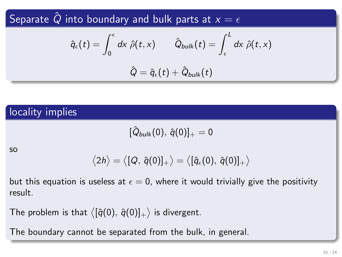Separate  $\hat{Q}$  into boundary and bulk parts at  $x = \epsilon$ 

$$
\hat{q}_{\epsilon}(t) = \int_0^{\epsilon} dx \; \hat{\rho}(t,x) \qquad \hat{Q}_{bulk}(t) = \int_{\epsilon}^{L} dx \; \hat{\rho}(t,x)
$$

$$
\hat{Q} = \hat{q}_{\epsilon}(t) + \hat{Q}_{bulk}(t)
$$

### locality implies

 $[\, \hat{Q}_{bulk}(0), \, \hat{q}(0) ]_{+} = 0$ 

so

$$
\langle 2h \rangle = \langle [Q, \,\hat{q}(0)]_+ \rangle = \langle [\hat{q}_\epsilon(0), \,\hat{q}(0)]_+ \rangle
$$

but this equation is useless at  $\epsilon = 0$ , where it would trivially give the positivity result.

The problem is that  $\big\langle [\hat{q}(0),\,\hat{q}(0)]_+\big\rangle$  is divergent.

The boundary cannot be separated from the bulk, in general.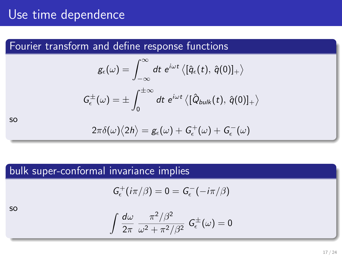## Use time dependence

#### Fourier transform and define response functions

$$
\begin{aligned} g_\epsilon(\omega) &= \int_{-\infty}^\infty dt \; e^{i\omega t} \left\langle [\hat{q}_\epsilon(t), \, \hat{q}(0)]_+ \right\rangle \\ G_\epsilon^\pm(\omega) &= \pm \int_0^{\pm \infty} dt \; e^{i\omega t} \left\langle [\hat{Q}_{bulk}(t), \, \hat{q}(0)]_+ \right\rangle \end{aligned}
$$

so

$$
2\pi\delta(\omega)\big<2h\big>=g_\epsilon(\omega)+G_\epsilon^+(\omega)+G_\epsilon^-(\omega)
$$

### bulk super-conformal invariance implies

$$
G_{\epsilon}^+(i\pi/\beta)=0=G_{\epsilon}^-(-i\pi/\beta)
$$

so

$$
\int \frac{d\omega}{2\pi} \frac{\pi^2/\beta^2}{\omega^2 + \pi^2/\beta^2} G_{\epsilon}^{\pm}(\omega) = 0
$$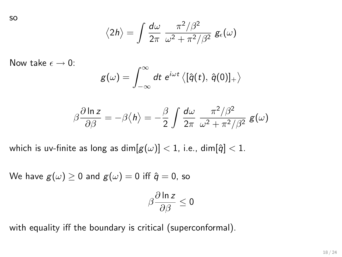so

$$
\langle 2h \rangle = \int \frac{d\omega}{2\pi} \frac{\pi^2/\beta^2}{\omega^2 + \pi^2/\beta^2} g_{\epsilon}(\omega)
$$

Now take  $\epsilon \to 0$ :

$$
g(\omega)=\int_{-\infty}^{\infty}dt\,\,e^{i\omega t}\left\langle [\hat{q}(t),\,\hat{q}(0)]_+\right\rangle
$$

$$
\beta \frac{\partial \ln z}{\partial \beta} = -\beta \langle h \rangle = -\frac{\beta}{2} \int \frac{d\omega}{2\pi} \frac{\pi^2/\beta^2}{\omega^2 + \pi^2/\beta^2} g(\omega)
$$

which is uv-finite as long as  $\dim[g(\omega)] < 1$ , i.e.,  $\dim[\hat{q}] < 1$ .

We have  $g(\omega) \ge 0$  and  $g(\omega) = 0$  iff  $\hat{q} = 0$ , so

$$
\beta\frac{\partial\ln z}{\partial\beta}\leq 0
$$

with equality iff the boundary is critical (superconformal).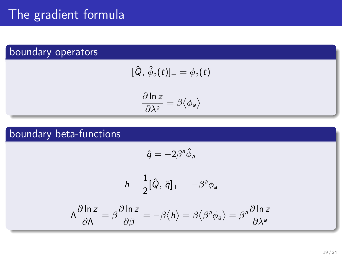## The gradient formula

### boundary operators

$$
[\hat{Q}, \hat{\phi}_a(t)]_+ = \phi_a(t)
$$

$$
\frac{\partial \ln z}{\partial \lambda^a} = \beta \langle \phi_a \rangle
$$

### boundary beta-functions

$$
\hat{q} = -2\beta^a \hat{\phi}_a
$$

$$
h=\frac{1}{2}[\hat{Q},\,\hat{q}]_+=-\beta^a\phi_a
$$

$$
\Lambda \frac{\partial \ln z}{\partial \Lambda} = \beta \frac{\partial \ln z}{\partial \beta} = -\beta \langle h \rangle = \beta \langle \beta^a \phi_a \rangle = \beta^a \frac{\partial \ln z}{\partial \lambda^a}
$$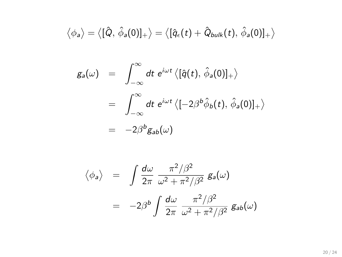$$
\langle \phi_a \rangle = \langle [\hat{Q}, \hat{\phi}_a(0)]_+ \rangle = \langle [\hat{q}_\epsilon(t) + \hat{Q}_{bulk}(t), \hat{\phi}_a(0)]_+ \rangle
$$

$$
g_a(\omega) = \int_{-\infty}^{\infty} dt \ e^{i\omega t} \langle [\hat{q}(t), \hat{\phi}_a(0)]_+ \rangle
$$
  
= 
$$
\int_{-\infty}^{\infty} dt \ e^{i\omega t} \langle [-2\beta^b \hat{\phi}_b(t), \hat{\phi}_a(0)]_+ \rangle
$$
  
= 
$$
-2\beta^b g_{ab}(\omega)
$$

$$
\langle \phi_a \rangle = \int \frac{d\omega}{2\pi} \frac{\pi^2/\beta^2}{\omega^2 + \pi^2/\beta^2} g_a(\omega)
$$

$$
= -2\beta^b \int \frac{d\omega}{2\pi} \frac{\pi^2/\beta^2}{\omega^2 + \pi^2/\beta^2} g_{ab}(\omega)
$$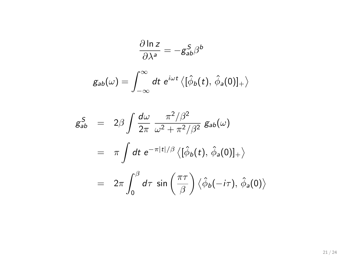$$
\frac{\partial \ln z}{\partial \lambda^a} = -g_{ab}^S \beta^b
$$

$$
g_{ab}(\omega) = \int_{-\infty}^{\infty} dt \ e^{i\omega t} \langle [\hat{\phi}_b(t), \hat{\phi}_a(0)]_+ \rangle
$$

$$
g_{ab}^{S} = 2\beta \int \frac{d\omega}{2\pi} \frac{\pi^{2}/\beta^{2}}{\omega^{2} + \pi^{2}/\beta^{2}} g_{ab}(\omega)
$$
  

$$
= \pi \int dt \ e^{-\pi|t|/\beta} \langle [\hat{\phi}_{b}(t), \hat{\phi}_{a}(0)]_{+} \rangle
$$
  

$$
= 2\pi \int_{0}^{\beta} d\tau \sin\left(\frac{\pi\tau}{\beta}\right) \langle \hat{\phi}_{b}(-i\tau), \hat{\phi}_{a}(0) \rangle
$$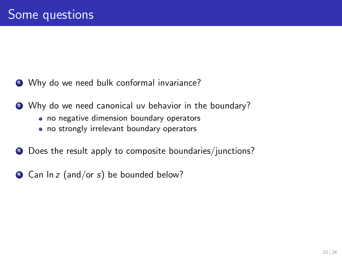- $\bullet$  Why do we need bulk conformal invariance?
- <sup>2</sup> Why do we need canonical uv behavior in the boundary?
	- no negative dimension boundary operators
	- no strongly irrelevant boundary operators
- **3** Does the result apply to composite boundaries/junctions?
- $\bullet$  Can ln z (and/or s) be bounded below?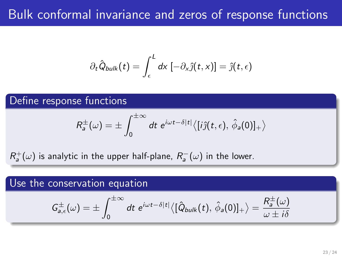## Bulk conformal invariance and zeros of response functions

$$
\partial_t \hat{Q}_{bulk}(t) = \int_{\epsilon}^{L} dx \, [-\partial_x \hat{j}(t,x)] = \hat{j}(t,\epsilon)
$$

Define response functions

$$
R_a^{\pm}(\omega) = \pm \int_0^{\pm \infty} dt \ e^{i\omega t - \delta |t|} \langle [i\hat{\jmath}(t, \epsilon), \hat{\phi}_a(0)]_+ \rangle
$$

 $R^+_a(\omega)$  is analytic in the upper half-plane,  $R^-_a(\omega)$  in the lower.

#### Use the conservation equation

$$
G_{a,\epsilon}^{\pm}(\omega)=\pm\int_0^{\pm\infty}dt\ e^{i\omega t-\delta|t|}\langle[\hat{Q}_{bulk}(t),\,\hat{\phi}_a(0)]_+\rangle=\frac{R_a^{\pm}(\omega)}{\omega\pm i\delta}
$$